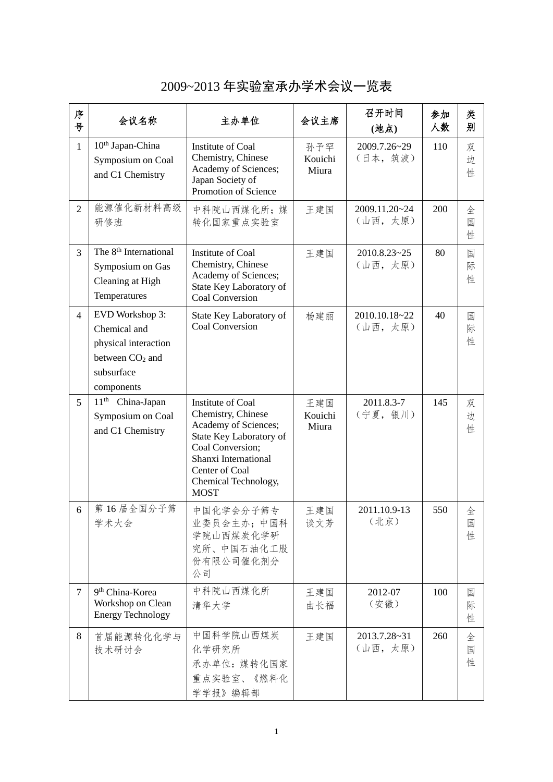| 序<br>븅         | 会议名称                                                                                                     | 主办单位                                                                                                                                                                                            | 会议主席                    | 召开时间<br>(地点)             | 参加<br>人数 | 类<br>别      |
|----------------|----------------------------------------------------------------------------------------------------------|-------------------------------------------------------------------------------------------------------------------------------------------------------------------------------------------------|-------------------------|--------------------------|----------|-------------|
| $\mathbf{1}$   | 10 <sup>th</sup> Japan-China<br>Symposium on Coal<br>and C1 Chemistry                                    | Institute of Coal<br>Chemistry, Chinese<br>Academy of Sciences;<br>Japan Society of<br>Promotion of Science                                                                                     | 孙予罕<br>Kouichi<br>Miura | 2009.7.26~29<br>(日本, 筑波) | 110      | 双<br>边<br>性 |
| 2              | 能源催化新材料高级<br>研修班                                                                                         | 中科院山西煤化所;煤<br>转化国家重点实验室                                                                                                                                                                         | 王建国                     | 2009.11.20~24<br>(山西,太原) | 200      | 全<br>国<br>性 |
| $\overline{3}$ | The 8 <sup>th</sup> International<br>Symposium on Gas<br>Cleaning at High<br>Temperatures                | Institute of Coal<br>Chemistry, Chinese<br>Academy of Sciences;<br>State Key Laboratory of<br><b>Coal Conversion</b>                                                                            | 王建国                     | 2010.8.23~25<br>(山西,太原)  | 80       | 国<br>际<br>性 |
| $\overline{4}$ | EVD Workshop 3:<br>Chemical and<br>physical interaction<br>between $CO2$ and<br>subsurface<br>components | State Key Laboratory of<br><b>Coal Conversion</b>                                                                                                                                               | 杨建丽                     | 2010.10.18~22<br>(山西,太原) | 40       | 国<br>际<br>性 |
| 5              | 11 <sup>th</sup> China-Japan<br>Symposium on Coal<br>and C1 Chemistry                                    | Institute of Coal<br>Chemistry, Chinese<br>Academy of Sciences;<br>State Key Laboratory of<br>Coal Conversion;<br>Shanxi International<br>Center of Coal<br>Chemical Technology,<br><b>MOST</b> | 王建国<br>Kouichi<br>Miura | 2011.8.3-7<br>(宁夏, 银川)   | 145      | 双<br>边<br>性 |
| 6              | 第16届全国分子筛<br>学术大会                                                                                        | 中国化学会分子筛专<br>业委员会主办;中国科<br>学院山西煤炭化学研<br>究所、中国石油化工股<br>份有限公司催化剂分<br>公司                                                                                                                           | 王建国<br>谈文芳              | 2011.10.9-13<br>(北京)     | 550      | 全<br>国<br>性 |
| $\tau$         | 9 <sup>th</sup> China-Korea<br>Workshop on Clean<br><b>Energy Technology</b>                             | 中科院山西煤化所<br>清华大学                                                                                                                                                                                | 王建国<br>由长福              | 2012-07<br>(安徽)          | 100      | 国<br>际<br>性 |
| 8              | 首届能源转化化学与<br>技术研讨会                                                                                       | 中国科学院山西煤炭<br>化学研究所<br>承办单位: 煤转化国家<br>重点实验室、《燃料化<br>学学报》编辑部                                                                                                                                      | 王建国                     | 2013.7.28~31<br>(山西,太原)  | 260      | 全<br>国<br>性 |

2009~2013 年实验室承办学术会议一览表